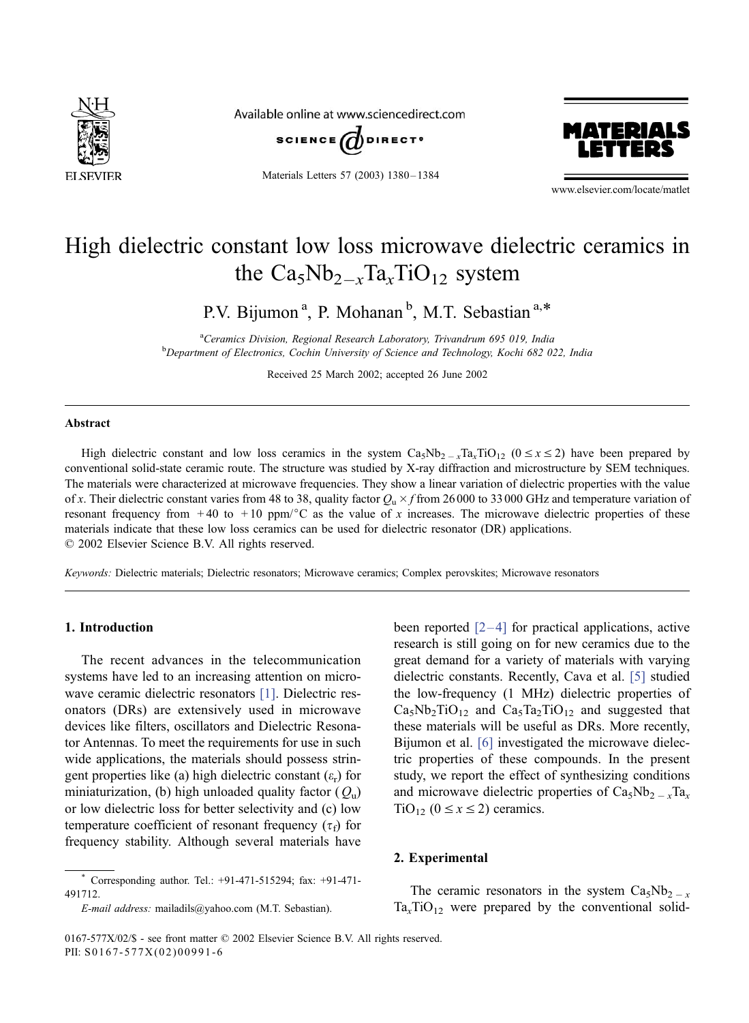

Available online at www.sciencedirect.com



Materials Letters 57 (2003) 1380-1384



www.elsevier.com/locate/matlet

# High dielectric constant low loss microwave dielectric ceramics in the  $Ca<sub>5</sub>Nb<sub>2-x</sub>Ta<sub>x</sub>TiO<sub>12</sub>$  system

P.V. Bijumon<sup>a</sup>, P. Mohanan<sup>b</sup>, M.T. Sebastian<sup>a,\*</sup>

<sup>a</sup>Ceramics Division, Regional Research Laboratory, Trivandrum 695 019, India **b** Department of Electronics, Cochin University of Science and Technology, Kochi 682 022, India

Received 25 March 2002; accepted 26 June 2002

#### Abstract

High dielectric constant and low loss ceramics in the system  $Ca_5Nb_{2-x}Ta_xTiO_{12}$  ( $0 \le x \le 2$ ) have been prepared by conventional solid-state ceramic route. The structure was studied by X-ray diffraction and microstructure by SEM techniques. The materials were characterized at microwave frequencies. They show a linear variation of dielectric properties with the value of x. Their dielectric constant varies from 48 to 38, quality factor  $Q_u \times f$  from 26000 to 33000 GHz and temperature variation of resonant frequency from  $+40$  to  $+10$  ppm/ $\degree$ C as the value of x increases. The microwave dielectric properties of these materials indicate that these low loss ceramics can be used for dielectric resonator (DR) applications.  $© 2002 Elsevier Science B.V. All rights reserved.$ 

Keywords: Dielectric materials; Dielectric resonators; Microwave ceramics; Complex perovskites; Microwave resonators

### 1. Introduction

The recent advances in the telecommunication systems have led to an increasing attention on micro-wave ceramic dielectric resonators [\[1\].](#page-3-0) Dielectric resonators (DRs) are extensively used in microwave devices like filters, oscillators and Dielectric Resonator Antennas. To meet the requirements for use in such wide applications, the materials should possess stringent properties like (a) high dielectric constant  $(\varepsilon_r)$  for miniaturization, (b) high unloaded quality factor  $(Q_{\rm u})$ or low dielectric loss for better selectivity and (c) low temperature coefficient of resonant frequency ( $\tau_f$ ) for frequency stability. Although several materials have

been reported  $[2-4]$  for practical applications, active research is still going on for new ceramics due to the great demand for a variety of materials with varying dielectric constants. Recently, Cava et al. [\[5\]](#page-3-0) studied the low-frequency (1 MHz) dielectric properties of  $Ca<sub>5</sub>Nb<sub>2</sub>TiO<sub>12</sub>$  and  $Ca<sub>5</sub>Ta<sub>2</sub>TiO<sub>12</sub>$  and suggested that these materials will be useful as DRs. More recently, Bijumon et al. [\[6\]](#page-4-0) investigated the microwave dielectric properties of these compounds. In the present study, we report the effect of synthesizing conditions and microwave dielectric properties of  $Ca<sub>5</sub>Nb<sub>2-x</sub>Ta<sub>x</sub>$ TiO<sub>12</sub> ( $0 \le x \le 2$ ) ceramics.

# 2. Experimental

The ceramic resonators in the system  $Ca<sub>5</sub>Nb<sub>2-x</sub>$  $Ta<sub>x</sub>TiO<sub>12</sub>$  were prepared by the conventional solid-

Corresponding author. Tel.: +91-471-515294; fax: +91-471-491712.

E-mail address: mailadils@yahoo.com (M.T. Sebastian).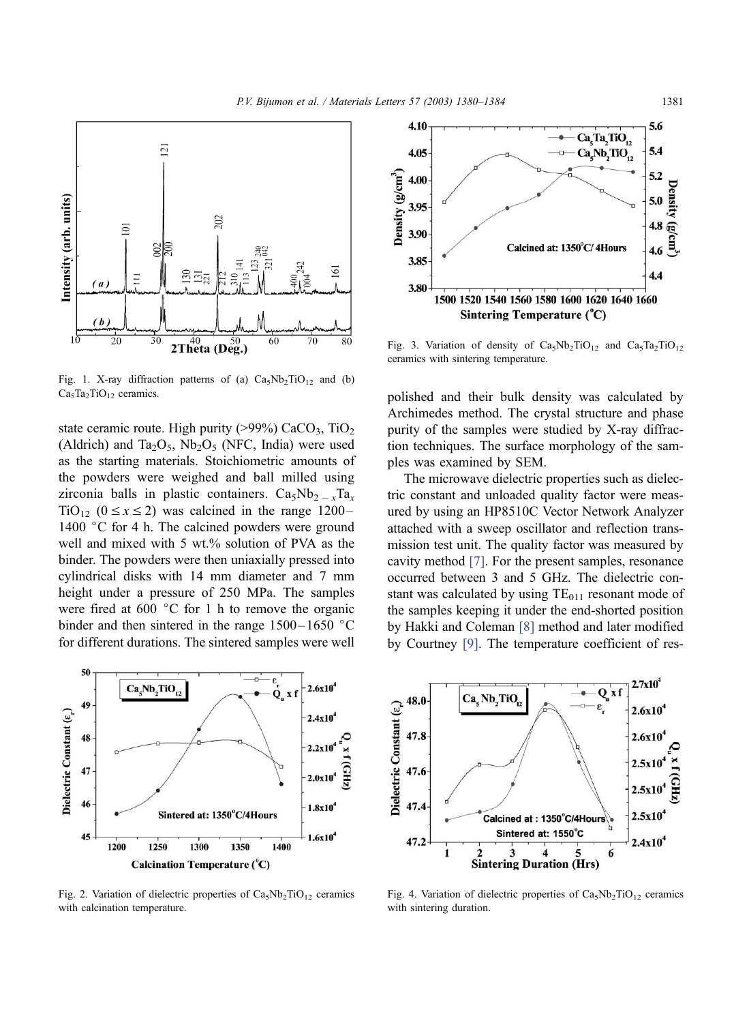<span id="page-1-0"></span>

Fig. 1. X-ray diffraction patterns of (a)  $Ca<sub>5</sub>Nb<sub>2</sub>TiO<sub>12</sub>$  and (b)  $Ca<sub>5</sub>Ta<sub>2</sub>TiO<sub>12</sub>$  ceramics.

state ceramic route. High purity ( $>99\%$ ) CaCO<sub>3</sub>, TiO<sub>2</sub> (Aldrich) and Ta<sub>2</sub>O<sub>5</sub>, Nb<sub>2</sub>O<sub>5</sub> (NFC, India) were used as the starting materials. Stoichiometric amounts of the powders were weighed and ball milled using zirconia balls in plastic containers.  $Ca<sub>5</sub>Nb<sub>2-x</sub>Ta<sub>x</sub>$ TiO<sub>12</sub> ( $0 \le x \le 2$ ) was calcined in the range 1200– 1400  $\degree$ C for 4 h. The calcined powders were ground well and mixed with 5 wt.% solution of PVA as the binder. The powders were then uniaxially pressed into cylindrical disks with 14 mm diameter and 7 mm height under a pressure of 250 MPa. The samples were fired at 600  $\degree$ C for 1 h to remove the organic binder and then sintered in the range  $1500 - 1650$  °C for different durations. The sintered samples were well



Fig. 2. Variation of dielectric properties of  $Ca<sub>5</sub>Nb<sub>2</sub>TiO<sub>12</sub>$  ceramics with calcination temperature.



Fig. 3. Variation of density of  $Ca<sub>5</sub>Nb<sub>2</sub>TiO<sub>12</sub>$  and  $Ca<sub>5</sub>Ta<sub>2</sub>TiO<sub>12</sub>$ ceramics with sintering temperature.

polished and their bulk density was calculated by Archimedes method. The crystal structure and phase purity of the samples were studied by X-ray diffraction techniques. The surface morphology of the samples was examined by SEM.

The microwave dielectric properties such as dielectric constant and unloaded quality factor were measured by using an HP8510C Vector Network Analyzer attached with a sweep oscillator and reflection transmission test unit. The quality factor was measured by cavity method [\[7\].](#page-4-0) For the present samples, resonance occurred between 3 and 5 GHz. The dielectric constant was calculated by using  $TE<sub>011</sub>$  resonant mode of the samples keeping it under the end-shorted position by Hakki and Coleman [\[8\]](#page-4-0) method and later modified by Courtney [\[9\].](#page-4-0) The temperature coefficient of res-



Fig. 4. Variation of dielectric properties of  $Ca<sub>5</sub>Nb<sub>2</sub>TiO<sub>12</sub>$  ceramics with sintering duration.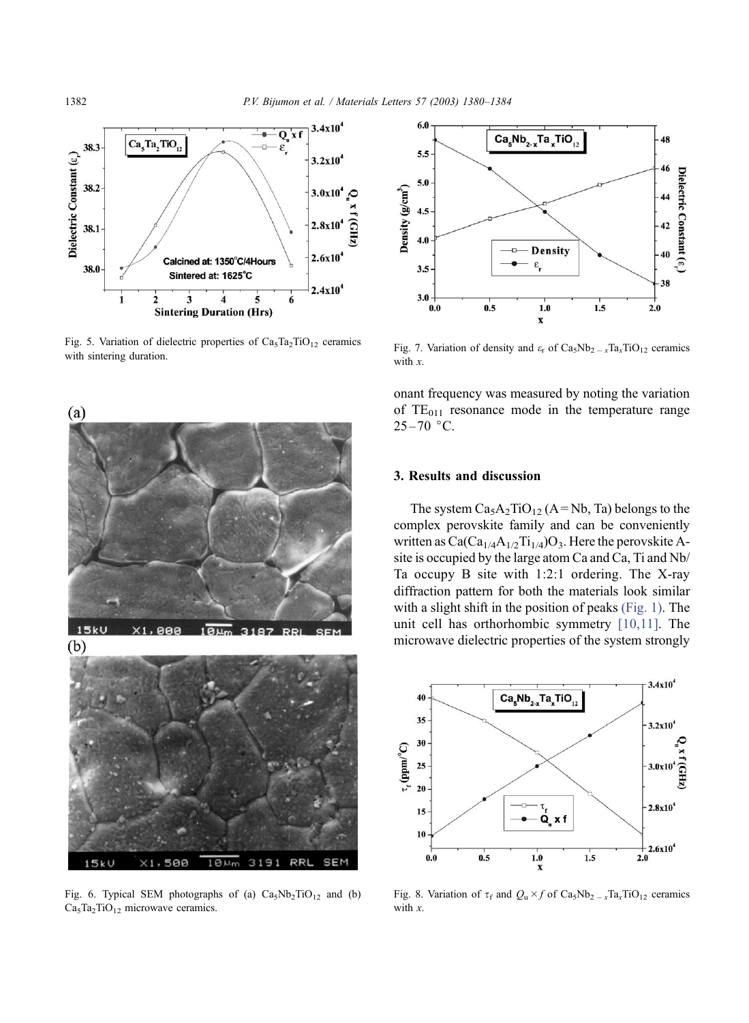<span id="page-2-0"></span>

Fig. 5. Variation of dielectric properties of  $Ca<sub>5</sub>Ta<sub>2</sub>TiO<sub>12</sub>$  ceramics with sintering duration.



Fig. 6. Typical SEM photographs of (a)  $Ca<sub>5</sub>Nb<sub>2</sub>TiO<sub>12</sub>$  and (b)  $Ca<sub>5</sub>Ta<sub>2</sub>TiO<sub>12</sub>$  microwave ceramics.



Fig. 7. Variation of density and  $\varepsilon_r$  of Ca<sub>5</sub>Nb<sub>2</sub> =  $_xTa_xTiO_{12}$  ceramics with  $x$ .

onant frequency was measured by noting the variation of  $TE_{011}$  resonance mode in the temperature range  $25 - 70$  °C.

### 3. Results and discussion

The system  $Ca<sub>5</sub>A<sub>2</sub>TiO<sub>12</sub>$  (A = Nb, Ta) belongs to the complex perovskite family and can be conveniently written as  $Ca(Ca_{1/4}A_{1/2}Ti_{1/4})O_3$ . Here the perovskite Asite is occupied by the large atom Ca and Ca, Ti and Nb/ Ta occupy B site with 1:2:1 ordering. The X-ray diffraction pattern for both the materials look similar with a slight shift in the position of peaks [\(Fig. 1\).](#page-1-0) The unit cell has orthorhombic symmetry [\[10,11\].](#page-4-0) The microwave dielectric properties of the system strongly



Fig. 8. Variation of  $\tau_f$  and  $Q_u \times f$  of  $Ca_5Nb_{2-x}Ta_xTiO_{12}$  ceramics with x.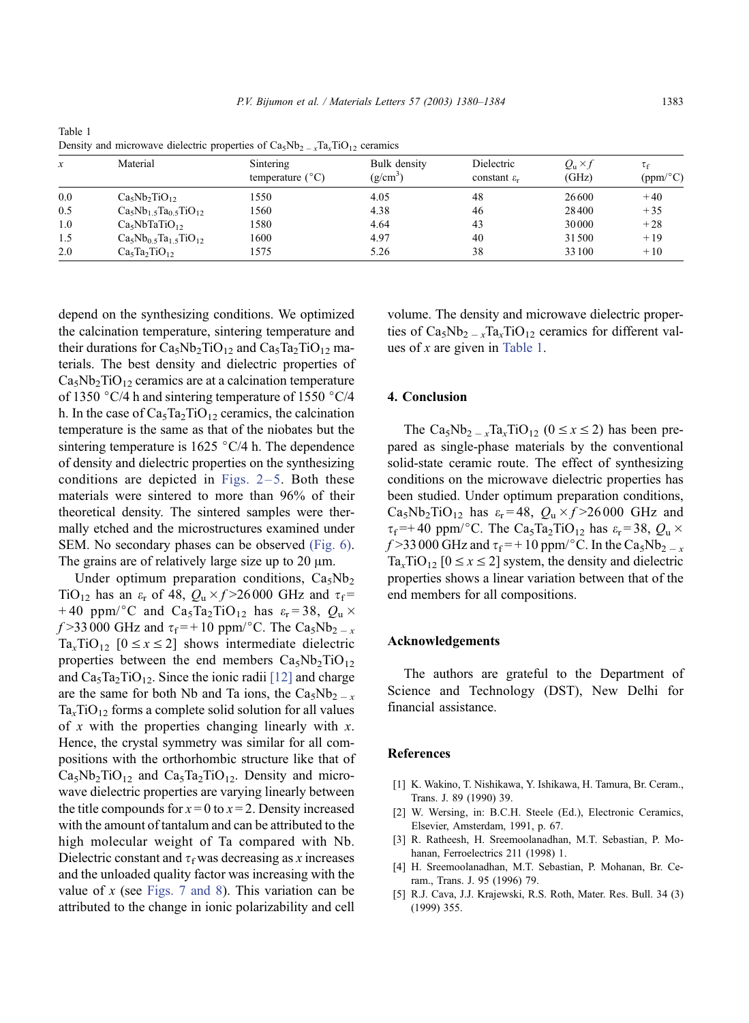| x   | Material                              | Sintering<br>temperature $(^{\circ}C)$ | Bulk density<br>$(g/cm^3)$ | Dielectric<br>constant $\varepsilon_r$ | $Q_{\rm u} \times f$<br>(GHz) | $\tau_{\rm f}$<br>(ppm/°C) |
|-----|---------------------------------------|----------------------------------------|----------------------------|----------------------------------------|-------------------------------|----------------------------|
| 0.0 | $Ca5Nb2TiO12$                         | 1550                                   | 4.05                       | 48                                     | 26600                         | $+40$                      |
| 0.5 | $Ca5Nb1$ , $Ta0$ , $TiO12$            | 1560                                   | 4.38                       | 46                                     | 28400                         | $+35$                      |
| 1.0 | Ca <sub>5</sub> NbTaTiO <sub>12</sub> | 1580                                   | 4.64                       | 43                                     | 30000                         | $+28$                      |
| 1.5 | $Ca5Nb0.5Ta1.5TiO12$                  | 1600                                   | 4.97                       | 40                                     | 31500                         | $+19$                      |
| 2.0 | $Ca5Ta2TiO12$                         | 1575                                   | 5.26                       | 38                                     | 33100                         | $+10$                      |

<span id="page-3-0"></span>Table 1 Density and microwave dielectric properties of  $Ca<sub>5</sub>Nb<sub>2-x</sub>Ta<sub>x</sub>TiO<sub>12</sub>$  ceramics

depend on the synthesizing conditions. We optimized the calcination temperature, sintering temperature and their durations for  $Ca<sub>5</sub>Nb<sub>2</sub>TiO<sub>12</sub>$  and  $Ca<sub>5</sub>Ta<sub>2</sub>TiO<sub>12</sub>$  materials. The best density and dielectric properties of  $Ca<sub>5</sub>Nb<sub>2</sub>TiO<sub>12</sub>$  ceramics are at a calcination temperature of 1350  $\degree$ C/4 h and sintering temperature of 1550  $\degree$ C/4 h. In the case of  $Ca<sub>5</sub>Ta<sub>2</sub>TiO<sub>12</sub>$  ceramics, the calcination temperature is the same as that of the niobates but the sintering temperature is  $1625 \degree C/4$  h. The dependence of density and dielectric properties on the synthesizing conditions are depicted in Figs.  $2-5$ . Both these materials were sintered to more than 96% of their theoretical density. The sintered samples were thermally etched and the microstructures examined under SEM. No secondary phases can be observed [\(Fig. 6\).](#page-2-0) The grains are of relatively large size up to  $20 \mu m$ .

Under optimum preparation conditions,  $Ca<sub>5</sub>Nb<sub>2</sub>$ TiO<sub>12</sub> has an  $\varepsilon_r$  of 48,  $Q_u \times f > 26000$  GHz and  $\tau_f =$ +40 ppm/°C and Ca<sub>5</sub>Ta<sub>2</sub>TiO<sub>12</sub> has  $\varepsilon_r = 38$ ,  $Q_u \times$  $f > 33000$  GHz and  $\tau_f = +10$  ppm/°C. The Ca<sub>5</sub>Nb<sub>2</sub> - x  $Ta_x TiO_{12}$  [ $0 \le x \le 2$ ] shows intermediate dielectric properties between the end members  $Ca<sub>5</sub>Nb<sub>2</sub>TiO<sub>12</sub>$ and  $Ca<sub>5</sub>Ta<sub>2</sub>TiO<sub>12</sub>$ . Since the ionic radii [\[12\]](#page-4-0) and charge are the same for both Nb and Ta ions, the  $Ca<sub>5</sub>Nb<sub>2-x</sub>$  $Ta<sub>x</sub>TiO<sub>12</sub>$  forms a complete solid solution for all values of  $x$  with the properties changing linearly with  $x$ . Hence, the crystal symmetry was similar for all compositions with the orthorhombic structure like that of  $Ca<sub>5</sub>Nb<sub>2</sub>TiO<sub>12</sub>$  and  $Ca<sub>5</sub>Ta<sub>2</sub>TiO<sub>12</sub>$ . Density and microwave dielectric properties are varying linearly between the title compounds for  $x = 0$  to  $x = 2$ . Density increased with the amount of tantalum and can be attributed to the high molecular weight of Ta compared with Nb. Dielectric constant and  $\tau_f$  was decreasing as x increases and the unloaded quality factor was increasing with the value of x (see [Figs. 7 and 8\)](#page-2-0). This variation can be attributed to the change in ionic polarizability and cell

volume. The density and microwave dielectric properties of  $Ca_5Nb_2 = xTa_xTiO_{12}$  ceramics for different values of  $x$  are given in Table 1.

## 4. Conclusion

The Ca<sub>5</sub>Nb<sub>2</sub>  $\frac{1}{x}$ Ta<sub>x</sub>TiO<sub>12</sub> (0  $\leq$  x  $\leq$  2) has been prepared as single-phase materials by the conventional solid-state ceramic route. The effect of synthesizing conditions on the microwave dielectric properties has been studied. Under optimum preparation conditions,  $Ca<sub>5</sub>Nb<sub>2</sub>TiO<sub>12</sub>$  has  $\varepsilon_{\rm r} = 48$ ,  $Q_{\rm u} \times f > 26000$  GHz and  $\tau_f$ =+40 ppm/°C. The Ca<sub>5</sub>Ta<sub>2</sub>TiO<sub>12</sub> has  $\varepsilon_r$ =38, Q<sub>u</sub>  $\times$  $f > 33000$  GHz and  $\tau_f = +10$  ppm/ $\degree$ C. In the Ca<sub>5</sub>Nb<sub>2</sub> - x  $Ta_x TiO_{12}$  [ $0 \le x \le 2$ ] system, the density and dielectric properties shows a linear variation between that of the end members for all compositions.

#### Acknowledgements

The authors are grateful to the Department of Science and Technology (DST), New Delhi for financial assistance.

#### **References**

- [1] K. Wakino, T. Nishikawa, Y. Ishikawa, H. Tamura, Br. Ceram., Trans. J. 89 (1990) 39.
- [2] W. Wersing, in: B.C.H. Steele (Ed.), Electronic Ceramics, Elsevier, Amsterdam, 1991, p. 67.
- [3] R. Ratheesh, H. Sreemoolanadhan, M.T. Sebastian, P. Mohanan, Ferroelectrics 211 (1998) 1.
- [4] H. Sreemoolanadhan, M.T. Sebastian, P. Mohanan, Br. Ceram., Trans. J. 95 (1996) 79.
- [5] R.J. Cava, J.J. Krajewski, R.S. Roth, Mater. Res. Bull. 34 (3) (1999) 355.